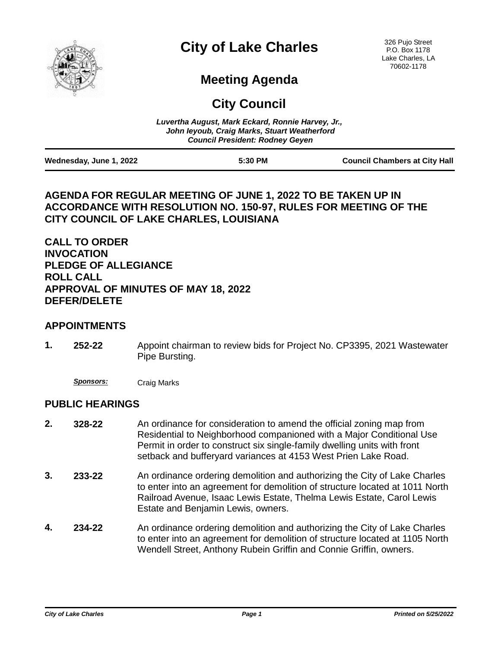

# **City of Lake Charles**

326 Pujo Street P.O. Box 1178 Lake Charles, LA 70602-1178

## **Meeting Agenda**

**City Council**

|                         | Luvertha August, Mark Eckard, Ronnie Harvey, Jr.,<br>John leyoub, Craig Marks, Stuart Weatherford<br><b>Council President: Rodney Geven</b> |                                      |
|-------------------------|---------------------------------------------------------------------------------------------------------------------------------------------|--------------------------------------|
| Wednesday, June 1, 2022 | 5:30 PM                                                                                                                                     | <b>Council Chambers at City Hall</b> |

#### **AGENDA FOR REGULAR MEETING OF JUNE 1, 2022 TO BE TAKEN UP IN ACCORDANCE WITH RESOLUTION NO. 150-97, RULES FOR MEETING OF THE CITY COUNCIL OF LAKE CHARLES, LOUISIANA**

**CALL TO ORDER INVOCATION PLEDGE OF ALLEGIANCE ROLL CALL APPROVAL OF MINUTES OF MAY 18, 2022 DEFER/DELETE**

#### **APPOINTMENTS**

- Appoint chairman to review bids for Project No. CP3395, 2021 Wastewater Pipe Bursting. **1. 252-22**
	- *Sponsors:* Craig Marks

#### **PUBLIC HEARINGS**

- An ordinance for consideration to amend the official zoning map from Residential to Neighborhood companioned with a Major Conditional Use Permit in order to construct six single-family dwelling units with front setback and bufferyard variances at 4153 West Prien Lake Road. **2. 328-22**
- An ordinance ordering demolition and authorizing the City of Lake Charles to enter into an agreement for demolition of structure located at 1011 North Railroad Avenue, Isaac Lewis Estate, Thelma Lewis Estate, Carol Lewis Estate and Benjamin Lewis, owners. **3. 233-22**
- An ordinance ordering demolition and authorizing the City of Lake Charles to enter into an agreement for demolition of structure located at 1105 North Wendell Street, Anthony Rubein Griffin and Connie Griffin, owners. **4. 234-22**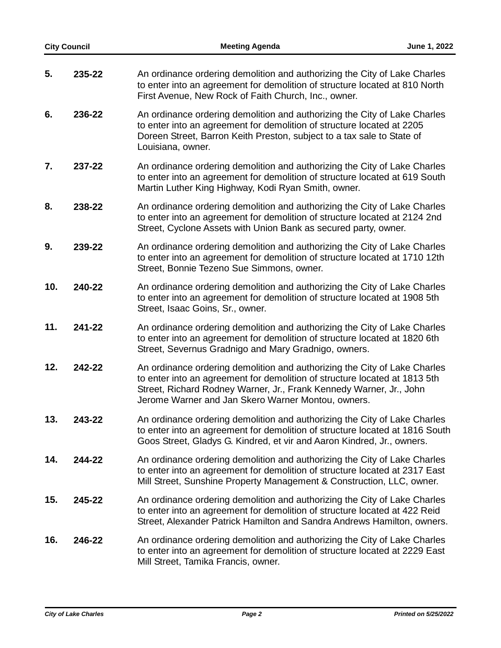|     | <b>City Council</b> | <b>Meeting Agenda</b>                                                                                                                                                                                                                                                                | June 1, 2022 |
|-----|---------------------|--------------------------------------------------------------------------------------------------------------------------------------------------------------------------------------------------------------------------------------------------------------------------------------|--------------|
| 5.  | 235-22              | An ordinance ordering demolition and authorizing the City of Lake Charles<br>to enter into an agreement for demolition of structure located at 810 North<br>First Avenue, New Rock of Faith Church, Inc., owner.                                                                     |              |
| 6.  | 236-22              | An ordinance ordering demolition and authorizing the City of Lake Charles<br>to enter into an agreement for demolition of structure located at 2205<br>Doreen Street, Barron Keith Preston, subject to a tax sale to State of<br>Louisiana, owner.                                   |              |
| 7.  | 237-22              | An ordinance ordering demolition and authorizing the City of Lake Charles<br>to enter into an agreement for demolition of structure located at 619 South<br>Martin Luther King Highway, Kodi Ryan Smith, owner.                                                                      |              |
| 8.  | 238-22              | An ordinance ordering demolition and authorizing the City of Lake Charles<br>to enter into an agreement for demolition of structure located at 2124 2nd<br>Street, Cyclone Assets with Union Bank as secured party, owner.                                                           |              |
| 9.  | 239-22              | An ordinance ordering demolition and authorizing the City of Lake Charles<br>to enter into an agreement for demolition of structure located at 1710 12th<br>Street, Bonnie Tezeno Sue Simmons, owner.                                                                                |              |
| 10. | 240-22              | An ordinance ordering demolition and authorizing the City of Lake Charles<br>to enter into an agreement for demolition of structure located at 1908 5th<br>Street, Isaac Goins, Sr., owner.                                                                                          |              |
| 11. | 241-22              | An ordinance ordering demolition and authorizing the City of Lake Charles<br>to enter into an agreement for demolition of structure located at 1820 6th<br>Street, Severnus Gradnigo and Mary Gradnigo, owners.                                                                      |              |
| 12. | 242-22              | An ordinance ordering demolition and authorizing the City of Lake Charles<br>to enter into an agreement for demolition of structure located at 1813 5th<br>Street, Richard Rodney Warner, Jr., Frank Kennedy Warner, Jr., John<br>Jerome Warner and Jan Skero Warner Montou, owners. |              |
| 13. | 243-22              | An ordinance ordering demolition and authorizing the City of Lake Charles<br>to enter into an agreement for demolition of structure located at 1816 South<br>Goos Street, Gladys G. Kindred, et vir and Aaron Kindred, Jr., owners.                                                  |              |
| 14. | 244-22              | An ordinance ordering demolition and authorizing the City of Lake Charles<br>to enter into an agreement for demolition of structure located at 2317 East<br>Mill Street, Sunshine Property Management & Construction, LLC, owner.                                                    |              |
| 15. | 245-22              | An ordinance ordering demolition and authorizing the City of Lake Charles<br>to enter into an agreement for demolition of structure located at 422 Reid<br>Street, Alexander Patrick Hamilton and Sandra Andrews Hamilton, owners.                                                   |              |
| 16. | 246-22              | An ordinance ordering demolition and authorizing the City of Lake Charles<br>to enter into an agreement for demolition of structure located at 2229 East<br>Mill Street, Tamika Francis, owner.                                                                                      |              |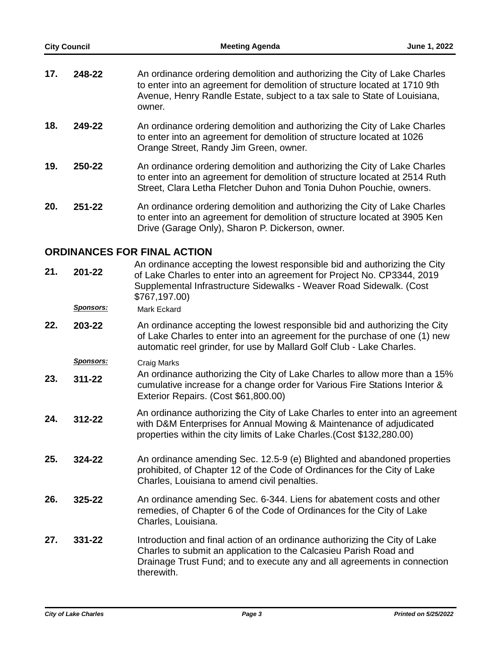| <b>City Council</b> |                             | <b>Meeting Agenda</b>                                                                                                                                                                                                                          | June 1, 2022 |  |
|---------------------|-----------------------------|------------------------------------------------------------------------------------------------------------------------------------------------------------------------------------------------------------------------------------------------|--------------|--|
| 17.                 | 248-22                      | An ordinance ordering demolition and authorizing the City of Lake Charles<br>to enter into an agreement for demolition of structure located at 1710 9th<br>Avenue, Henry Randle Estate, subject to a tax sale to State of Louisiana,<br>owner. |              |  |
| 18.                 | 249-22                      | An ordinance ordering demolition and authorizing the City of Lake Charles<br>to enter into an agreement for demolition of structure located at 1026<br>Orange Street, Randy Jim Green, owner.                                                  |              |  |
| 19.                 | 250-22                      | An ordinance ordering demolition and authorizing the City of Lake Charles<br>to enter into an agreement for demolition of structure located at 2514 Ruth<br>Street, Clara Letha Fletcher Duhon and Tonia Duhon Pouchie, owners.                |              |  |
| 20.                 | $251 - 22$                  | An ordinance ordering demolition and authorizing the City of Lake Charles<br>to enter into an agreement for demolition of structure located at 3905 Ken<br>Drive (Garage Only), Sharon P. Dickerson, owner.                                    |              |  |
|                     | ORDINANCES FOR FINAL ACTION |                                                                                                                                                                                                                                                |              |  |

### **ORDINANCES FOR FINAL ACTION**

| 21. | 201-22<br><u>Sponsors:</u> | An ordinance accepting the lowest responsible bid and authorizing the City<br>of Lake Charles to enter into an agreement for Project No. CP3344, 2019<br>Supplemental Infrastructure Sidewalks - Weaver Road Sidewalk. (Cost<br>\$767,197.00)<br><b>Mark Eckard</b> |
|-----|----------------------------|---------------------------------------------------------------------------------------------------------------------------------------------------------------------------------------------------------------------------------------------------------------------|
| 22. | 203-22                     | An ordinance accepting the lowest responsible bid and authorizing the City<br>of Lake Charles to enter into an agreement for the purchase of one (1) new<br>automatic reel grinder, for use by Mallard Golf Club - Lake Charles.                                    |
|     | <b>Sponsors:</b>           | Craig Marks                                                                                                                                                                                                                                                         |
| 23. | $311 - 22$                 | An ordinance authorizing the City of Lake Charles to allow more than a 15%<br>cumulative increase for a change order for Various Fire Stations Interior &<br>Exterior Repairs. (Cost \$61,800.00)                                                                   |
| 24. | 312-22                     | An ordinance authorizing the City of Lake Charles to enter into an agreement<br>with D&M Enterprises for Annual Mowing & Maintenance of adjudicated<br>properties within the city limits of Lake Charles. (Cost \$132,280.00)                                       |
| 25. | 324-22                     | An ordinance amending Sec. 12.5-9 (e) Blighted and abandoned properties<br>prohibited, of Chapter 12 of the Code of Ordinances for the City of Lake<br>Charles, Louisiana to amend civil penalties.                                                                 |
| 26. | 325-22                     | An ordinance amending Sec. 6-344. Liens for abatement costs and other<br>remedies, of Chapter 6 of the Code of Ordinances for the City of Lake<br>Charles, Louisiana.                                                                                               |
| 27. | 331-22                     | Introduction and final action of an ordinance authorizing the City of Lake<br>Charles to submit an application to the Calcasieu Parish Road and<br>Drainage Trust Fund; and to execute any and all agreements in connection<br>therewith.                           |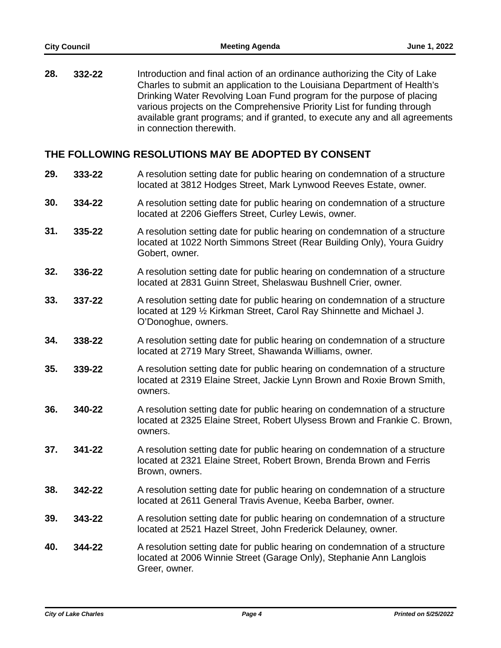Introduction and final action of an ordinance authorizing the City of Lake Charles to submit an application to the Louisiana Department of Health's Drinking Water Revolving Loan Fund program for the purpose of placing various projects on the Comprehensive Priority List for funding through available grant programs; and if granted, to execute any and all agreements in connection therewith. **28. 332-22**

#### **THE FOLLOWING RESOLUTIONS MAY BE ADOPTED BY CONSENT**

- A resolution setting date for public hearing on condemnation of a structure located at 3812 Hodges Street, Mark Lynwood Reeves Estate, owner. **29. 333-22**
- A resolution setting date for public hearing on condemnation of a structure located at 2206 Gieffers Street, Curley Lewis, owner. **30. 334-22**
- A resolution setting date for public hearing on condemnation of a structure located at 1022 North Simmons Street (Rear Building Only), Youra Guidry Gobert, owner. **31. 335-22**
- A resolution setting date for public hearing on condemnation of a structure located at 2831 Guinn Street, Shelaswau Bushnell Crier, owner. **32. 336-22**
- A resolution setting date for public hearing on condemnation of a structure located at 129 ½ Kirkman Street, Carol Ray Shinnette and Michael J. O'Donoghue, owners. **33. 337-22**
- A resolution setting date for public hearing on condemnation of a structure located at 2719 Mary Street, Shawanda Williams, owner. **34. 338-22**
- A resolution setting date for public hearing on condemnation of a structure located at 2319 Elaine Street, Jackie Lynn Brown and Roxie Brown Smith, owners. **35. 339-22**
- A resolution setting date for public hearing on condemnation of a structure located at 2325 Elaine Street, Robert Ulysess Brown and Frankie C. Brown, owners. **36. 340-22**
- A resolution setting date for public hearing on condemnation of a structure located at 2321 Elaine Street, Robert Brown, Brenda Brown and Ferris Brown, owners. **37. 341-22**
- A resolution setting date for public hearing on condemnation of a structure located at 2611 General Travis Avenue, Keeba Barber, owner. **38. 342-22**
- A resolution setting date for public hearing on condemnation of a structure located at 2521 Hazel Street, John Frederick Delauney, owner. **39. 343-22**
- A resolution setting date for public hearing on condemnation of a structure located at 2006 Winnie Street (Garage Only), Stephanie Ann Langlois Greer, owner. **40. 344-22**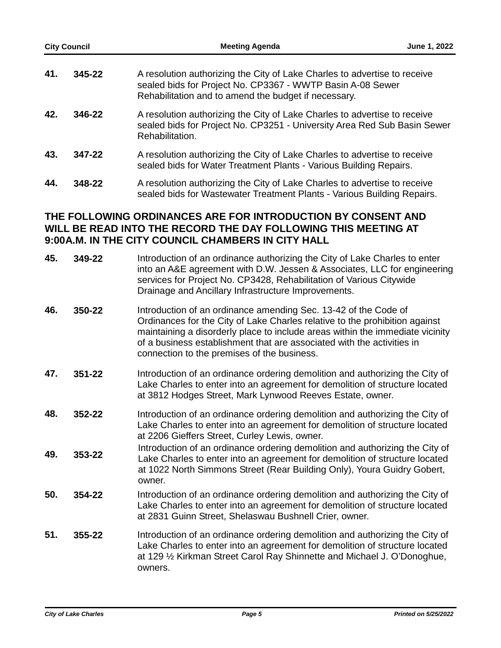| <b>City Council</b> |        | <b>Meeting Agenda</b>                                                                                                                                                                           | June 1, 2022 |
|---------------------|--------|-------------------------------------------------------------------------------------------------------------------------------------------------------------------------------------------------|--------------|
| 41.                 | 345-22 | A resolution authorizing the City of Lake Charles to advertise to receive<br>sealed bids for Project No. CP3367 - WWTP Basin A-08 Sewer<br>Rehabilitation and to amend the budget if necessary. |              |
| 42.                 | 346-22 | A resolution authorizing the City of Lake Charles to advertise to receive<br>sealed bids for Project No. CP3251 - University Area Red Sub Basin Sewer<br>Rehabilitation.                        |              |
| 43.                 | 347-22 | A resolution authorizing the City of Lake Charles to advertise to receive<br>sealed bids for Water Treatment Plants - Various Building Repairs.                                                 |              |
| 44.                 | 348-22 | A resolution authorizing the City of Lake Charles to advertise to receive<br>sealed bids for Wastewater Treatment Plants - Various Building Repairs.                                            |              |

#### **THE FOLLOWING ORDINANCES ARE FOR INTRODUCTION BY CONSENT AND WILL BE READ INTO THE RECORD THE DAY FOLLOWING THIS MEETING AT 9:00A.M. IN THE CITY COUNCIL CHAMBERS IN CITY HALL**

| 45. | 349-22 | Introduction of an ordinance authorizing the City of Lake Charles to enter<br>into an A&E agreement with D.W. Jessen & Associates, LLC for engineering<br>services for Project No. CP3428, Rehabilitation of Various Citywide<br>Drainage and Ancillary Infrastructure Improvements.                                                                     |
|-----|--------|----------------------------------------------------------------------------------------------------------------------------------------------------------------------------------------------------------------------------------------------------------------------------------------------------------------------------------------------------------|
| 46. | 350-22 | Introduction of an ordinance amending Sec. 13-42 of the Code of<br>Ordinances for the City of Lake Charles relative to the prohibition against<br>maintaining a disorderly place to include areas within the immediate vicinity<br>of a business establishment that are associated with the activities in<br>connection to the premises of the business. |
| 47. | 351-22 | Introduction of an ordinance ordering demolition and authorizing the City of<br>Lake Charles to enter into an agreement for demolition of structure located<br>at 3812 Hodges Street, Mark Lynwood Reeves Estate, owner.                                                                                                                                 |
| 48. | 352-22 | Introduction of an ordinance ordering demolition and authorizing the City of<br>Lake Charles to enter into an agreement for demolition of structure located<br>at 2206 Gieffers Street, Curley Lewis, owner.                                                                                                                                             |
| 49. | 353-22 | Introduction of an ordinance ordering demolition and authorizing the City of<br>Lake Charles to enter into an agreement for demolition of structure located<br>at 1022 North Simmons Street (Rear Building Only), Youra Guidry Gobert,<br>owner.                                                                                                         |
| 50. | 354-22 | Introduction of an ordinance ordering demolition and authorizing the City of<br>Lake Charles to enter into an agreement for demolition of structure located<br>at 2831 Guinn Street, Shelaswau Bushnell Crier, owner.                                                                                                                                    |
| 51. | 355-22 | Introduction of an ordinance ordering demolition and authorizing the City of<br>Lake Charles to enter into an agreement for demolition of structure located<br>at 129 1/2 Kirkman Street Carol Ray Shinnette and Michael J. O'Donoghue,<br>owners.                                                                                                       |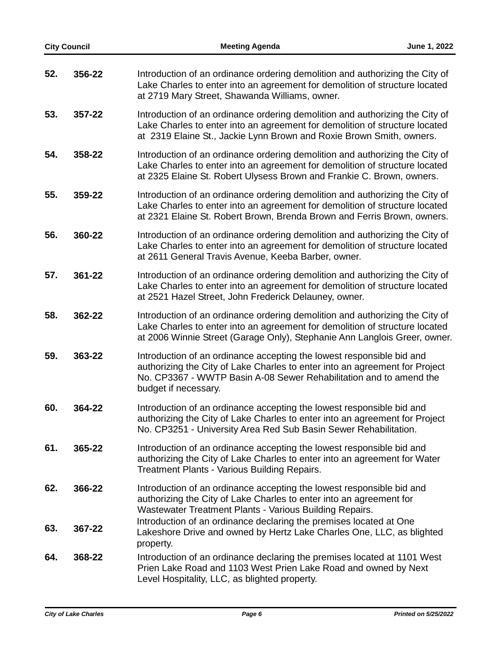| <b>City Council</b> |        | <b>Meeting Agenda</b>                                                                                                                                                                                                                              | June 1, 2022 |
|---------------------|--------|----------------------------------------------------------------------------------------------------------------------------------------------------------------------------------------------------------------------------------------------------|--------------|
| 52.                 | 356-22 | Introduction of an ordinance ordering demolition and authorizing the City of<br>Lake Charles to enter into an agreement for demolition of structure located<br>at 2719 Mary Street, Shawanda Williams, owner.                                      |              |
| 53.                 | 357-22 | Introduction of an ordinance ordering demolition and authorizing the City of<br>Lake Charles to enter into an agreement for demolition of structure located<br>at 2319 Elaine St., Jackie Lynn Brown and Roxie Brown Smith, owners.                |              |
| 54.                 | 358-22 | Introduction of an ordinance ordering demolition and authorizing the City of<br>Lake Charles to enter into an agreement for demolition of structure located<br>at 2325 Elaine St. Robert Ulysess Brown and Frankie C. Brown, owners.               |              |
| 55.                 | 359-22 | Introduction of an ordinance ordering demolition and authorizing the City of<br>Lake Charles to enter into an agreement for demolition of structure located<br>at 2321 Elaine St. Robert Brown, Brenda Brown and Ferris Brown, owners.             |              |
| 56.                 | 360-22 | Introduction of an ordinance ordering demolition and authorizing the City of<br>Lake Charles to enter into an agreement for demolition of structure located<br>at 2611 General Travis Avenue, Keeba Barber, owner.                                 |              |
| 57.                 | 361-22 | Introduction of an ordinance ordering demolition and authorizing the City of<br>Lake Charles to enter into an agreement for demolition of structure located<br>at 2521 Hazel Street, John Frederick Delauney, owner.                               |              |
| 58.                 | 362-22 | Introduction of an ordinance ordering demolition and authorizing the City of<br>Lake Charles to enter into an agreement for demolition of structure located<br>at 2006 Winnie Street (Garage Only), Stephanie Ann Langlois Greer, owner.           |              |
| 59.                 | 363-22 | Introduction of an ordinance accepting the lowest responsible bid and<br>authorizing the City of Lake Charles to enter into an agreement for Project<br>No. CP3367 - WWTP Basin A-08 Sewer Rehabilitation and to amend the<br>budget if necessary. |              |
| 60.                 | 364-22 | Introduction of an ordinance accepting the lowest responsible bid and<br>authorizing the City of Lake Charles to enter into an agreement for Project<br>No. CP3251 - University Area Red Sub Basin Sewer Rehabilitation.                           |              |
| 61.                 | 365-22 | Introduction of an ordinance accepting the lowest responsible bid and<br>authorizing the City of Lake Charles to enter into an agreement for Water<br><b>Treatment Plants - Various Building Repairs.</b>                                          |              |
| 62.                 | 366-22 | Introduction of an ordinance accepting the lowest responsible bid and<br>authorizing the City of Lake Charles to enter into an agreement for<br>Wastewater Treatment Plants - Various Building Repairs.                                            |              |
| 63.                 | 367-22 | Introduction of an ordinance declaring the premises located at One<br>Lakeshore Drive and owned by Hertz Lake Charles One, LLC, as blighted<br>property.                                                                                           |              |
| 64.                 | 368-22 | Introduction of an ordinance declaring the premises located at 1101 West<br>Prien Lake Road and 1103 West Prien Lake Road and owned by Next<br>Level Hospitality, LLC, as blighted property.                                                       |              |